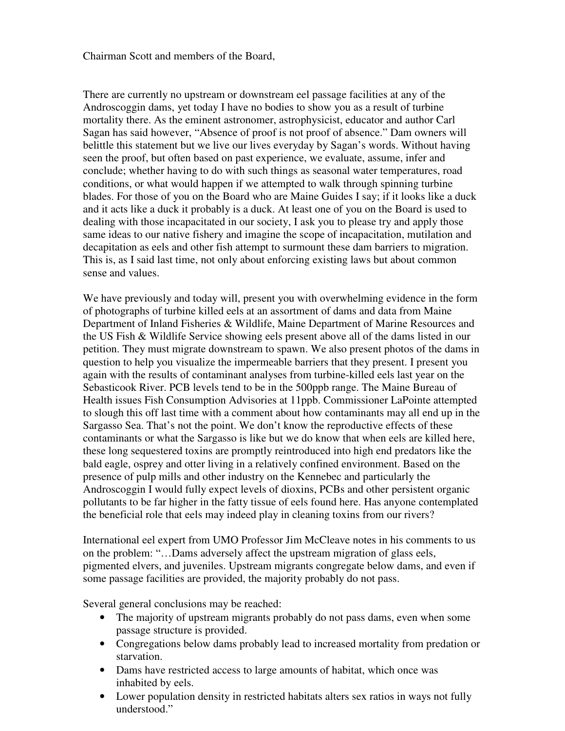Chairman Scott and members of the Board,

There are currently no upstream or downstream eel passage facilities at any of the Androscoggin dams, yet today I have no bodies to show you as a result of turbine mortality there. As the eminent astronomer, astrophysicist, educator and author Carl Sagan has said however, "Absence of proof is not proof of absence." Dam owners will belittle this statement but we live our lives everyday by Sagan's words. Without having seen the proof, but often based on past experience, we evaluate, assume, infer and conclude; whether having to do with such things as seasonal water temperatures, road conditions, or what would happen if we attempted to walk through spinning turbine blades. For those of you on the Board who are Maine Guides I say; if it looks like a duck and it acts like a duck it probably is a duck. At least one of you on the Board is used to dealing with those incapacitated in our society, I ask you to please try and apply those same ideas to our native fishery and imagine the scope of incapacitation, mutilation and decapitation as eels and other fish attempt to surmount these dam barriers to migration. This is, as I said last time, not only about enforcing existing laws but about common sense and values.

We have previously and today will, present you with overwhelming evidence in the form of photographs of turbine killed eels at an assortment of dams and data from Maine Department of Inland Fisheries & Wildlife, Maine Department of Marine Resources and the US Fish & Wildlife Service showing eels present above all of the dams listed in our petition. They must migrate downstream to spawn. We also present photos of the dams in question to help you visualize the impermeable barriers that they present. I present you again with the results of contaminant analyses from turbine-killed eels last year on the Sebasticook River. PCB levels tend to be in the 500ppb range. The Maine Bureau of Health issues Fish Consumption Advisories at 11ppb. Commissioner LaPointe attempted to slough this off last time with a comment about how contaminants may all end up in the Sargasso Sea. That's not the point. We don't know the reproductive effects of these contaminants or what the Sargasso is like but we do know that when eels are killed here, these long sequestered toxins are promptly reintroduced into high end predators like the bald eagle, osprey and otter living in a relatively confined environment. Based on the presence of pulp mills and other industry on the Kennebec and particularly the Androscoggin I would fully expect levels of dioxins, PCBs and other persistent organic pollutants to be far higher in the fatty tissue of eels found here. Has anyone contemplated the beneficial role that eels may indeed play in cleaning toxins from our rivers?

International eel expert from UMO Professor Jim McCleave notes in his comments to us on the problem: "…Dams adversely affect the upstream migration of glass eels, pigmented elvers, and juveniles. Upstream migrants congregate below dams, and even if some passage facilities are provided, the majority probably do not pass.

Several general conclusions may be reached:

- The majority of upstream migrants probably do not pass dams, even when some passage structure is provided.
- Congregations below dams probably lead to increased mortality from predation or starvation.
- Dams have restricted access to large amounts of habitat, which once was inhabited by eels.
- Lower population density in restricted habitats alters sex ratios in ways not fully understood."